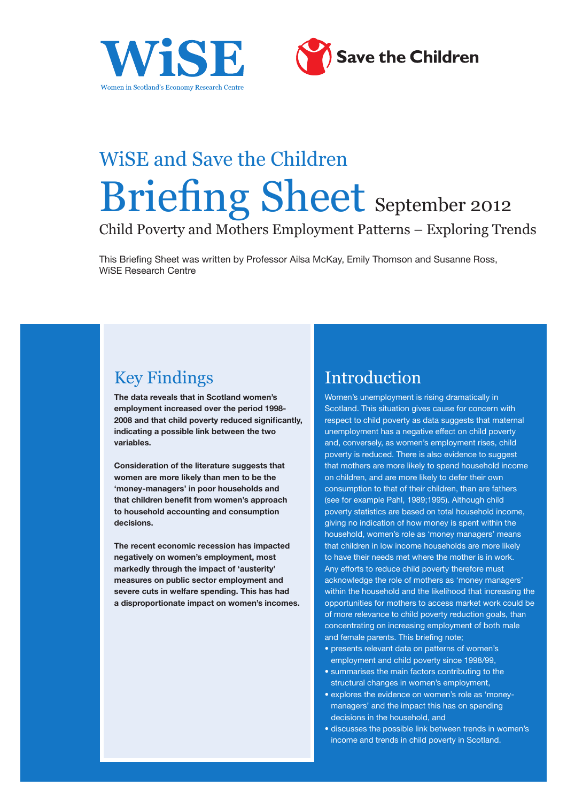



# WiSE and Save the Children Briefing Sheet September 2012

Child Poverty and Mothers Employment Patterns – Exploring Trends

This Briefing Sheet was written by Professor Ailsa McKay, Emily Thomson and Susanne Ross, WiSE Research Centre

# Key Findings

**The data reveals that in Scotland women's employment increased over the period 1998- 2008 and that child poverty reduced significantly, indicating a possible link between the two variables.** 

**Consideration of the literature suggests that women are more likely than men to be the 'money-managers' in poor households and that children benefit from women's approach to household accounting and consumption decisions.** 

**The recent economic recession has impacted negatively on women's employment, most markedly through the impact of 'austerity' measures on public sector employment and severe cuts in welfare spending. This has had a disproportionate impact on women's incomes.**

### Introduction

Women's unemployment is rising dramatically in Scotland. This situation gives cause for concern with respect to child poverty as data suggests that maternal unemployment has a negative effect on child poverty and, conversely, as women's employment rises, child poverty is reduced. There is also evidence to suggest that mothers are more likely to spend household income on children, and are more likely to defer their own consumption to that of their children, than are fathers (see for example Pahl, 1989;1995). Although child poverty statistics are based on total household income, giving no indication of how money is spent within the household, women's role as 'money managers' means that children in low income households are more likely to have their needs met where the mother is in work. Any efforts to reduce child poverty therefore must acknowledge the role of mothers as 'money managers' within the household and the likelihood that increasing the opportunities for mothers to access market work could be of more relevance to child poverty reduction goals, than concentrating on increasing employment of both male and female parents. This briefing note;

- presents relevant data on patterns of women's employment and child poverty since 1998/99,
- summarises the main factors contributing to the structural changes in women's employment,
- explores the evidence on women's role as 'moneymanagers' and the impact this has on spending decisions in the household, and
- discusses the possible link between trends in women's income and trends in child poverty in Scotland.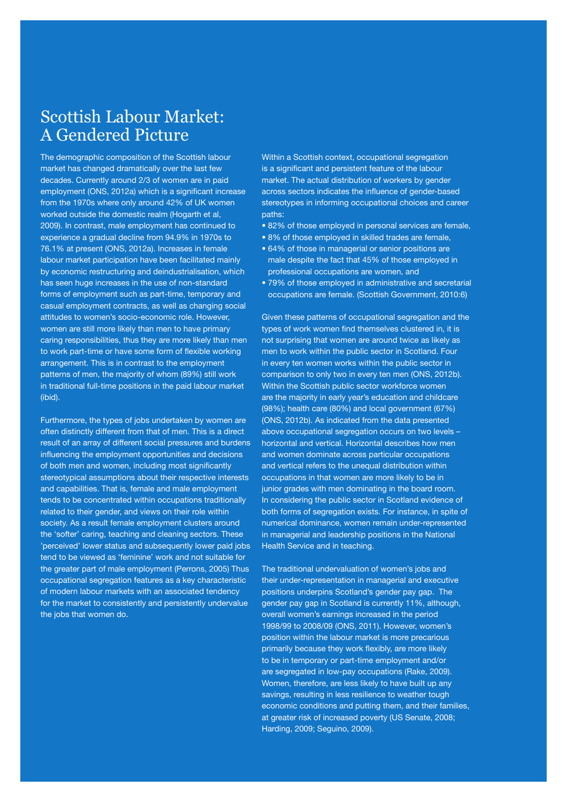# Scottish Labour Market: A Gendered Picture

The demographic composition of the Scottish labour market has changed dramatically over the last few decades. Currently around 2/3 of women are in paid employment (ONS, 2012a) which is a significant increase from the 1970s where only around 42% of UK women worked outside the domestic realm (Hogarth et al, 2009). In contrast, male employment has continued to experience a gradual decline from 94.9% in 1970s to 76.1% at present (ONS, 2012a). Increases in female labour market participation have been facilitated mainly by economic restructuring and deindustrialisation, which has seen huge increases in the use of non-standard forms of employment such as part-time, temporary and casual employment contracts, as well as changing social attitudes to women's socio-economic role. However, women are still more likely than men to have primary caring responsibilities, thus they are more likely than men to work part-time or have some form of flexible working arrangement. This is in contrast to the employment patterns of men, the majority of whom (89%) still work in traditional full-time positions in the paid labour market (ibid).

Furthermore, the types of jobs undertaken by women are often distinctly different from that of men. This is a direct result of an array of different social pressures and burdens influencing the employment opportunities and decisions of both men and women, including most significantly stereotypical assumptions about their respective interests and capabilities. That is, female and male employment tends to be concentrated within occupations traditionally related to their gender, and views on their role within society. As a result female employment clusters around the 'softer' caring, teaching and cleaning sectors. These 'perceived' lower status and subsequently lower paid jobs tend to be viewed as 'feminine' work and not suitable for the greater part of male employment (Perrons, 2005) Thus occupational segregation features as a key characteristic of modern labour markets with an associated tendency for the market to consistently and persistently undervalue the jobs that women do.

Within a Scottish context, occupational segregation is a significant and persistent feature of the labour market. The actual distribution of workers by gender across sectors indicates the influence of gender-based stereotypes in informing occupational choices and career paths:

- 82% of those employed in personal services are female,
- 8% of those employed in skilled trades are female,
- 64% of those in managerial or senior positions are male despite the fact that 45% of those employed in professional occupations are women, and
- 79% of those employed in administrative and secretarial occupations are female. (Scottish Government, 2010:6)

Given these patterns of occupational segregation and the types of work women find themselves clustered in, it is not surprising that women are around twice as likely as men to work within the public sector in Scotland. Four in every ten women works within the public sector in comparison to only two in every ten men (ONS, 2012b). Within the Scottish public sector workforce women are the majority in early year's education and childcare (98%); health care (80%) and local government (67%) (ONS, 2012b). As indicated from the data presented above occupational segregation occurs on two levels – horizontal and vertical. Horizontal describes how men and women dominate across particular occupations and vertical refers to the unequal distribution within occupations in that women are more likely to be in junior grades with men dominating in the board room. In considering the public sector in Scotland evidence of both forms of segregation exists. For instance, in spite of numerical dominance, women remain under-represented in managerial and leadership positions in the National Health Service and in teaching.

The traditional undervaluation of women's jobs and their under-representation in managerial and executive positions underpins Scotland's gender pay gap. The gender pay gap in Scotland is currently 11%, although, overall women's earnings increased in the period 1998/99 to 2008/09 (ONS, 2011). However, women's position within the labour market is more precarious primarily because they work flexibly, are more likely to be in temporary or part-time employment and/or are segregated in low-pay occupations (Rake, 2009). Women, therefore, are less likely to have built up any savings, resulting in less resilience to weather tough economic conditions and putting them, and their families, at greater risk of increased poverty (US Senate, 2008; Harding, 2009; Seguino, 2009).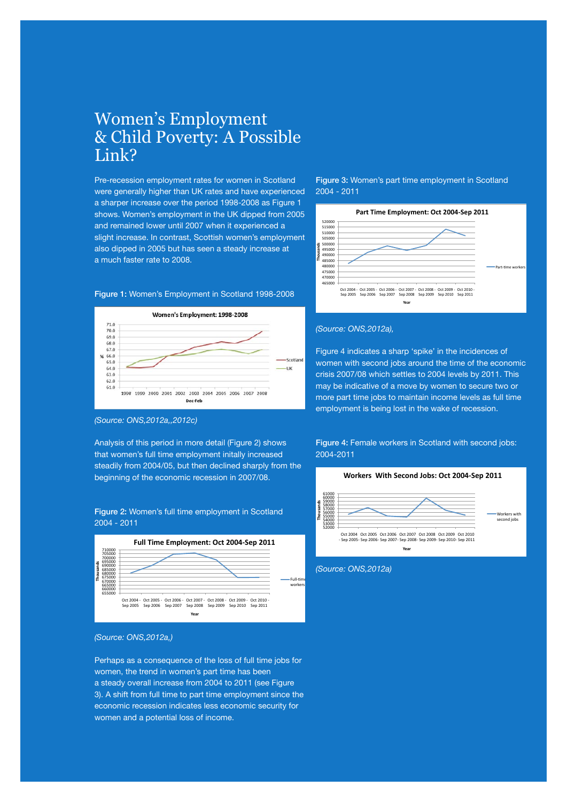#### Women's Employment & Child Poverty: A Possible Link?

Pre-recession employment rates for women in Scotland were generally higher than UK rates and have experienced a sharper increase over the period 1998-2008 as Figure 1 shows. Women's employment in the UK dipped from 2005 and remained lower until 2007 when it experienced a slight increase. In contrast, Scottish women's employment also dipped in 2005 but has seen a steady increase at a much faster rate to 2008.

#### Figure 1: Women's Employment in Scotland 1998-2008



#### *(Source: ONS,2012a,,2012c)*

Analysis of this period in more detail (Figure 2) shows that women's full time employment initally increased steadily from 2004/05, but then declined sharply from the beginning of the economic recession in 2007/08.

#### Figure 2: Women's full time employment in Scotland 2004 - 2011





Perhaps as a consequence of the loss of full time jobs for women, the trend in women's part time has been a steady overall increase from 2004 to 2011 (see Figure 3). A shift from full time to part time employment since the economic recession indicates less economic security for women and a potential loss of income.

Figure 3: Women's part time employment in Scotland 2004 - 2011



#### *(Source: ONS,2012a),*

Figure 4 indicates a sharp 'spike' in the incidences of women with second jobs around the time of the economic crisis 2007/08 which settles to 2004 levels by 2011. This may be indicative of a move by women to secure two or more part time jobs to maintain income levels as full time employment is being lost in the wake of recession.

Figure 4: Female workers in Scotland with second jobs: 2004-2011





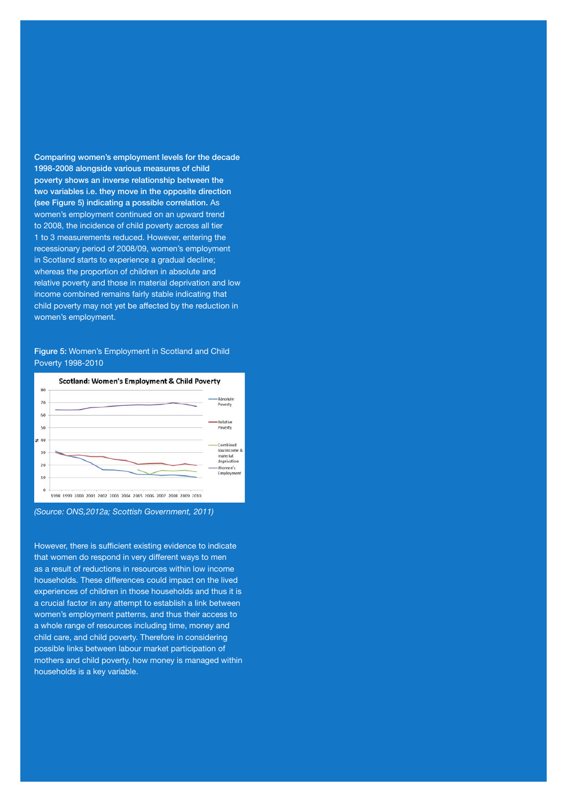Comparing women's employment levels for the decade 1998-2008 alongside various measures of child poverty shows an inverse relationship between the two variables i.e. they move in the opposite direction (see Figure 5) indicating a possible correlation. As women's employment continued on an upward trend to 2008, the incidence of child poverty across all tier 1 to 3 measurements reduced. However, entering the recessionary period of 2008/09, women's employment in Scotland starts to experience a gradual decline; whereas the proportion of children in absolute and relative poverty and those in material deprivation and low income combined remains fairly stable indicating that child poverty may not yet be affected by the reduction in women's employment.

Figure 5: Women's Employment in Scotland and Child Poverty 1998-2010





However, there is sufficient existing evidence to indicate that women do respond in very different ways to men as a result of reductions in resources within low income households. These differences could impact on the lived experiences of children in those households and thus it is a crucial factor in any attempt to establish a link between women's employment patterns, and thus their access to a whole range of resources including time, money and child care, and child poverty. Therefore in considering possible links between labour market participation of mothers and child poverty, how money is managed within households is a key variable.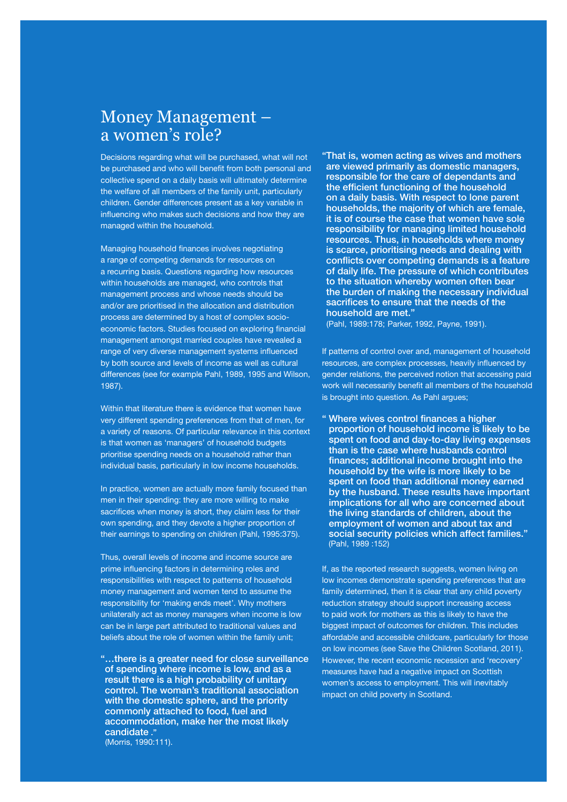### Money Management – a women's role?

Decisions regarding what will be purchased, what will not be purchased and who will benefit from both personal and collective spend on a daily basis will ultimately determine the welfare of all members of the family unit, particularly children. Gender differences present as a key variable in influencing who makes such decisions and how they are managed within the household.

Managing household finances involves negotiating a range of competing demands for resources on a recurring basis. Questions regarding how resources within households are managed, who controls that management process and whose needs should be and/or are prioritised in the allocation and distribution process are determined by a host of complex socioeconomic factors. Studies focused on exploring financial management amongst married couples have revealed a range of very diverse management systems influenced by both source and levels of income as well as cultural differences (see for example Pahl, 1989, 1995 and Wilson, 1987).

Within that literature there is evidence that women have very different spending preferences from that of men, for a variety of reasons. Of particular relevance in this context is that women as 'managers' of household budgets prioritise spending needs on a household rather than individual basis, particularly in low income households.

In practice, women are actually more family focused than men in their spending: they are more willing to make sacrifices when money is short, they claim less for their own spending, and they devote a higher proportion of their earnings to spending on children (Pahl, 1995:375).

Thus, overall levels of income and income source are prime influencing factors in determining roles and responsibilities with respect to patterns of household money management and women tend to assume the responsibility for 'making ends meet'. Why mothers unilaterally act as money managers when income is low can be in large part attributed to traditional values and beliefs about the role of women within the family unit;

"…there is a greater need for close surveillance of spending where income is low, and as a result there is a high probability of unitary control. The woman's traditional association with the domestic sphere, and the priority commonly attached to food, fuel and accommodation, make her the most likely candidate ." (Morris, 1990:111).

"That is, women acting as wives and mothers are viewed primarily as domestic managers, responsible for the care of dependants and the efficient functioning of the household on a daily basis. With respect to lone parent households, the majority of which are female, it is of course the case that women have sole responsibility for managing limited household resources. Thus, in households where money is scarce, prioritising needs and dealing with conflicts over competing demands is a feature of daily life. The pressure of which contributes to the situation whereby women often bear the burden of making the necessary individual sacrifices to ensure that the needs of the household are met."

(Pahl, 1989:178; Parker, 1992, Payne, 1991).

If patterns of control over and, management of household resources, are complex processes, heavily influenced by gender relations, the perceived notion that accessing paid work will necessarily benefit all members of the household is brought into question. As Pahl argues;

" Where wives control finances a higher proportion of household income is likely to be spent on food and day-to-day living expenses than is the case where husbands control finances; additional income brought into the household by the wife is more likely to be spent on food than additional money earned by the husband. These results have important implications for all who are concerned about the living standards of children, about the employment of women and about tax and social security policies which affect families." (Pahl, 1989 :152)

If, as the reported research suggests, women living on low incomes demonstrate spending preferences that are family determined, then it is clear that any child poverty reduction strategy should support increasing access to paid work for mothers as this is likely to have the biggest impact of outcomes for children. This includes affordable and accessible childcare, particularly for those on low incomes (see Save the Children Scotland, 2011). However, the recent economic recession and 'recovery' measures have had a negative impact on Scottish women's access to employment. This will inevitably impact on child poverty in Scotland.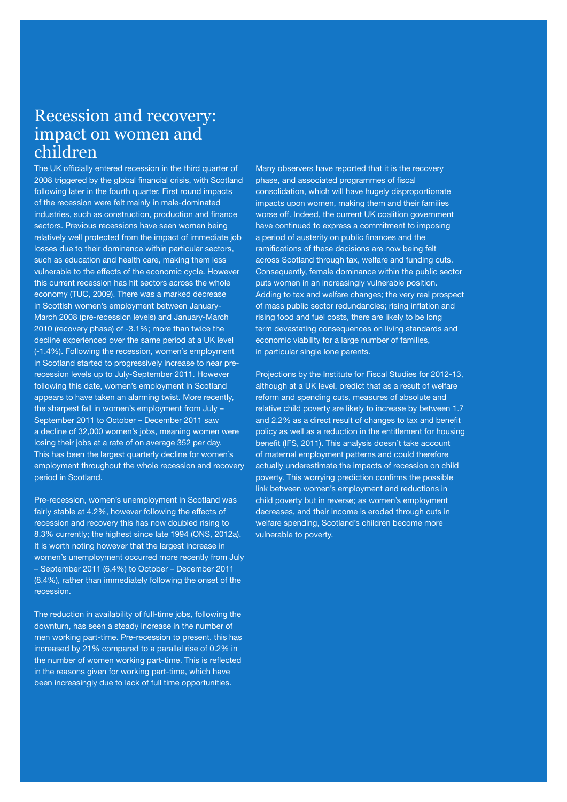### Recession and recovery: impact on women and children

The UK officially entered recession in the third quarter of 2008 triggered by the global financial crisis, with Scotland following later in the fourth quarter. First round impacts of the recession were felt mainly in male-dominated industries, such as construction, production and finance sectors. Previous recessions have seen women being relatively well protected from the impact of immediate job losses due to their dominance within particular sectors, such as education and health care, making them less vulnerable to the effects of the economic cycle. However this current recession has hit sectors across the whole economy (TUC, 2009). There was a marked decrease in Scottish women's employment between January-March 2008 (pre-recession levels) and January-March 2010 (recovery phase) of -3.1%; more than twice the decline experienced over the same period at a UK level (-1.4%). Following the recession, women's employment in Scotland started to progressively increase to near prerecession levels up to July-September 2011. However following this date, women's employment in Scotland appears to have taken an alarming twist. More recently, the sharpest fall in women's employment from July – September 2011 to October – December 2011 saw a decline of 32,000 women's jobs, meaning women were losing their jobs at a rate of on average 352 per day. This has been the largest quarterly decline for women's employment throughout the whole recession and recovery period in Scotland.

Pre-recession, women's unemployment in Scotland was fairly stable at 4.2%, however following the effects of recession and recovery this has now doubled rising to 8.3% currently; the highest since late 1994 (ONS, 2012a). It is worth noting however that the largest increase in women's unemployment occurred more recently from July – September 2011 (6.4%) to October – December 2011 (8.4%), rather than immediately following the onset of the recession.

The reduction in availability of full-time jobs, following the downturn, has seen a steady increase in the number of men working part-time. Pre-recession to present, this has increased by 21% compared to a parallel rise of 0.2% in the number of women working part-time. This is reflected in the reasons given for working part-time, which have been increasingly due to lack of full time opportunities.

Many observers have reported that it is the recovery phase, and associated programmes of fiscal consolidation, which will have hugely disproportionate impacts upon women, making them and their families worse off. Indeed, the current UK coalition government have continued to express a commitment to imposing a period of austerity on public finances and the ramifications of these decisions are now being felt across Scotland through tax, welfare and funding cuts. Consequently, female dominance within the public sector puts women in an increasingly vulnerable position. Adding to tax and welfare changes; the very real prospect of mass public sector redundancies; rising inflation and rising food and fuel costs, there are likely to be long term devastating consequences on living standards and economic viability for a large number of families, in particular single lone parents.

Projections by the Institute for Fiscal Studies for 2012-13, although at a UK level, predict that as a result of welfare reform and spending cuts, measures of absolute and relative child poverty are likely to increase by between 1.7 and 2.2% as a direct result of changes to tax and benefit policy as well as a reduction in the entitlement for housing benefit (IFS, 2011). This analysis doesn't take account of maternal employment patterns and could therefore actually underestimate the impacts of recession on child poverty. This worrying prediction confirms the possible link between women's employment and reductions in child poverty but in reverse; as women's employment decreases, and their income is eroded through cuts in welfare spending, Scotland's children become more vulnerable to poverty.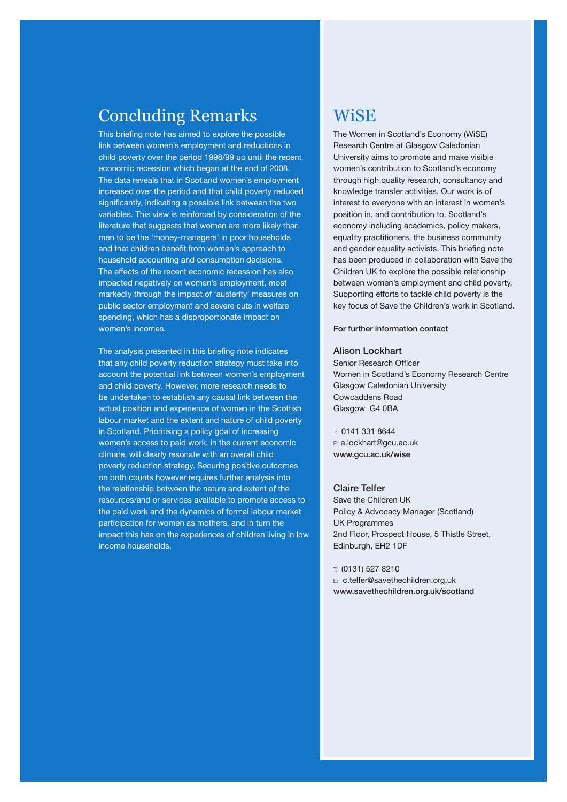# Concluding Remarks

This briefing note has aimed to explore the possible link between women's employment and reductions in child poverty over the period 1998/99 up until the recent economic recession which began at the end of 2008. The data reveals that in Scotland women's employment increased over the period and that child poverty reduced significantly, indicating a possible link between the two variables. This view is reinforced by consideration of the literature that suggests that women are more likely than men to be the 'money-managers' in poor households and that children benefit from women's approach to household accounting and consumption decisions. The effects of the recent economic recession has also impacted negatively on women's employment, most markedly through the impact of 'austerity' measures on public sector employment and severe cuts in welfare spending, which has a disproportionate impact on women's incomes.

The analysis presented in this briefing note indicates that any child poverty reduction strategy must take into account the potential link between women's employment and child poverty. However, more research needs to be undertaken to establish any causal link between the actual position and experience of women in the Scottish labour market and the extent and nature of child poverty in Scotland. Prioritising a policy goal of increasing women's access to paid work, in the current economic climate, will clearly resonate with an overall child poverty reduction strategy. Securing positive outcomes on both counts however requires further analysis into the relationship between the nature and extent of the resources/and or services available to promote access to the paid work and the dynamics of formal labour market participation for women as mothers, and in turn the impact this has on the experiences of children living in low income households.

### **WiSE**

The Women in Scotland's Economy (WiSE) Research Centre at Glasgow Caledonian University aims to promote and make visible women's contribution to Scotland's economy through high quality research, consultancy and knowledge transfer activities. Our work is of interest to everyone with an interest in women's position in, and contribution to, Scotland's economy including academics, policy makers, equality practitioners, the business community and gender equality activists. This briefing note has been produced in collaboration with Save the Children UK to explore the possible relationship between women's employment and child poverty. Supporting efforts to tackle child poverty is the key focus of Save the Children's work in Scotland.

#### For further information contact

#### Alison Lockhart

Senior Research Officer Women in Scotland's Economy Research Centre Glasgow Caledonian University Cowcaddens Road Glasgow G4 0BA

 $\top$  0141 331 8644 E: a.lockhart@gcu.ac.uk www.gcu.ac.uk/wise

#### Claire Telfer

Save the Children UK Policy & Advocacy Manager (Scotland) UK Programmes 2nd Floor, Prospect House, 5 Thistle Street, Edinburgh, EH2 1DF

#### T: (0131) 527 8210

E: c.telfer@savethechildren.org.uk www.savethechildren.org.uk/scotland